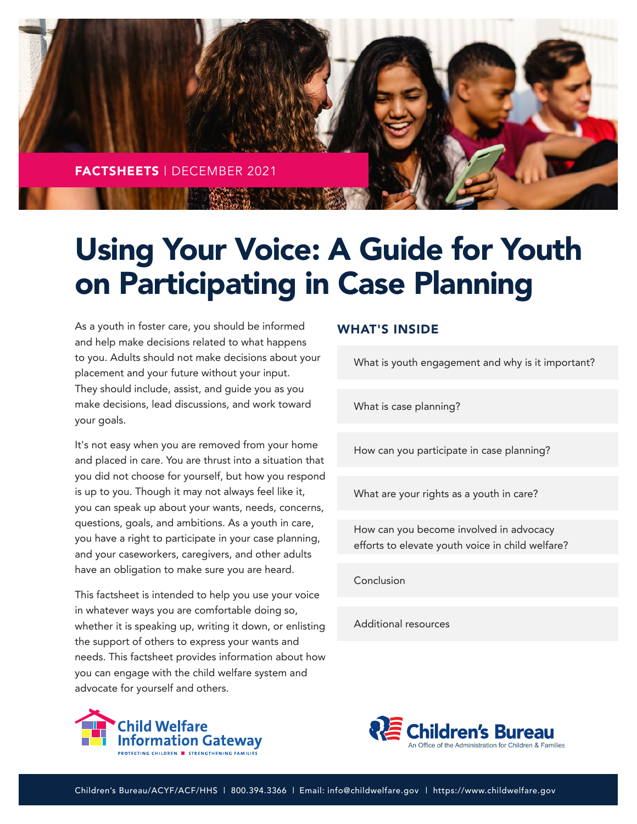

# Using Your Voice: A Guide for Youth on Participating in Case Planning

As a youth in foster care, you should be informed and help make decisions related to what happens to you. Adults should not make decisions about your placement and your future without your input. They should include, assist, and guide you as you make decisions, lead discussions, and work toward your goals.

It's not easy when you are removed from your home and placed in care. You are thrust into a situation that you did not choose for yourself, but how you respond is up to you. Though it may not always feel like it, you can speak up about your wants, needs, concerns, questions, goals, and ambitions. As a youth in care, you have a right to participate in your case planning, and your caseworkers, caregivers, and other adults have an obligation to make sure you are heard.

This factsheet is intended to help you use your voice in whatever ways you are comfortable doing so, whether it is speaking up, writing it down, or enlisting the support of others to express your wants and needs. This factsheet provides information about how you can engage with the child welfare system and advocate for yourself and others.



### WHAT'S INSIDE

[What is youth engagement and why is it important?](#page-1-0)

[What is case planning?](#page-1-0)

[How can you participate in case planning?](#page-3-0)

[What are your rights as a youth in care?](#page-7-0)

How can you become involved in advocacy [efforts to elevate youth voice in child welfare?](#page-8-0)

[Conclusion](#page-9-0)

[Additional resources](#page-9-0)

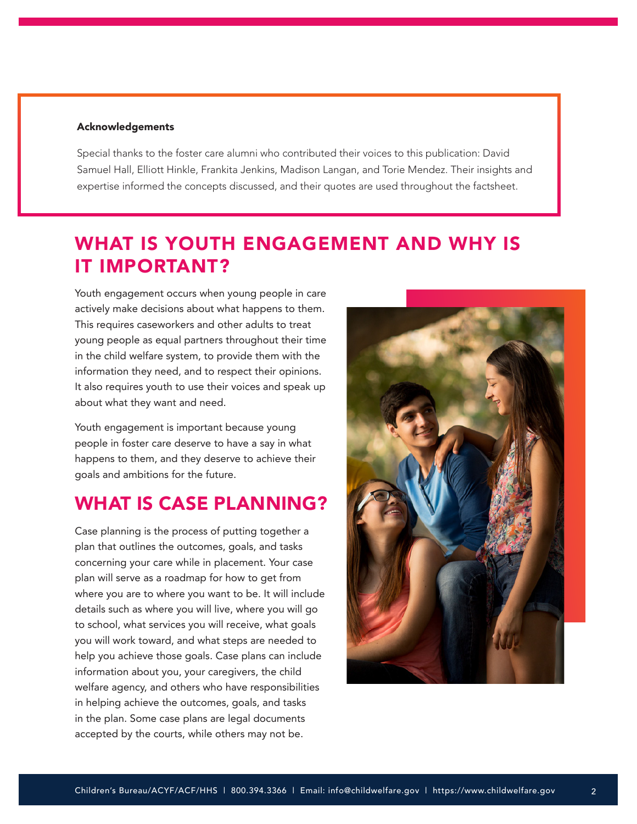#### <span id="page-1-0"></span>Acknowledgements

Special thanks to the foster care alumni who contributed their voices to this publication: David Samuel Hall, Elliott Hinkle, Frankita Jenkins, Madison Langan, and Torie Mendez. Their insights and expertise informed the concepts discussed, and their quotes are used throughout the factsheet.

### WHAT IS YOUTH ENGAGEMENT AND WHY IS IT IMPORTANT?

Youth engagement occurs when young people in care actively make decisions about what happens to them. This requires caseworkers and other adults to treat young people as equal partners throughout their time in the child welfare system, to provide them with the information they need, and to respect their opinions. It also requires youth to use their voices and speak up about what they want and need.

Youth engagement is important because young people in foster care deserve to have a say in what happens to them, and they deserve to achieve their goals and ambitions for the future.

### WHAT IS CASE PLANNING?

Case planning is the process of putting together a plan that outlines the outcomes, goals, and tasks concerning your care while in placement. Your case plan will serve as a roadmap for how to get from where you are to where you want to be. It will include details such as where you will live, where you will go to school, what services you will receive, what goals you will work toward, and what steps are needed to help you achieve those goals. Case plans can include information about you, your caregivers, the child welfare agency, and others who have responsibilities in helping achieve the outcomes, goals, and tasks in the plan. Some case plans are legal documents accepted by the courts, while others may not be.

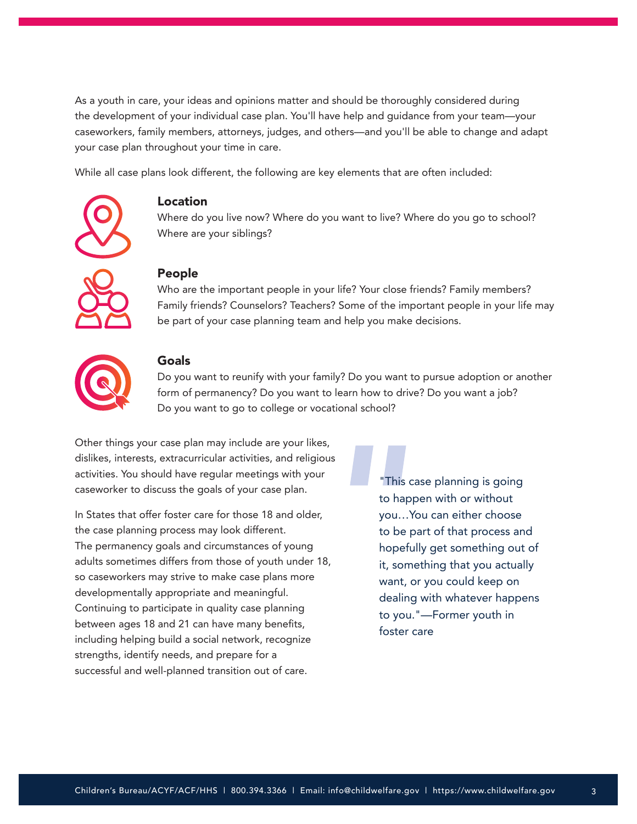As a youth in care, your ideas and opinions matter and should be thoroughly considered during the development of your individual case plan. You'll have help and guidance from your team—your caseworkers, family members, attorneys, judges, and others—and you'll be able to change and adapt your case plan throughout your time in care.

While all case plans look different, the following are key elements that are often included:



### Location

Where do you live now? Where do you want to live? Where do you go to school? Where are your siblings?

### People

Who are the important people in your life? Your close friends? Family members? Family friends? Counselors? Teachers? Some of the important people in your life may be part of your case planning team and help you make decisions.



#### Goals

Do you want to reunify with your family? Do you want to pursue adoption or another form of permanency? Do you want to learn how to drive? Do you want a job? Do you want to go to college or vocational school?

Other things your case plan may include are your likes, dislikes, interests, extracurricular activities, and religious activities. You should have regular meetings with your caseworker to discuss the goals of your case plan.

In States that offer foster care for those 18 and older, the case planning process may look different. The permanency goals and circumstances of young adults sometimes differs from those of youth under 18, so caseworkers may strive to make case plans more developmentally appropriate and meaningful. Continuing to participate in quality case planning between ages 18 and 21 can have many benefits, including helping build a social network, recognize strengths, identify needs, and prepare for a successful and well-planned transition out of care.

"This case planning is going to happen with or without you…You can either choose to be part of that process and hopefully get something out of it, something that you actually want, or you could keep on dealing with whatever happens to you."—Former youth in foster care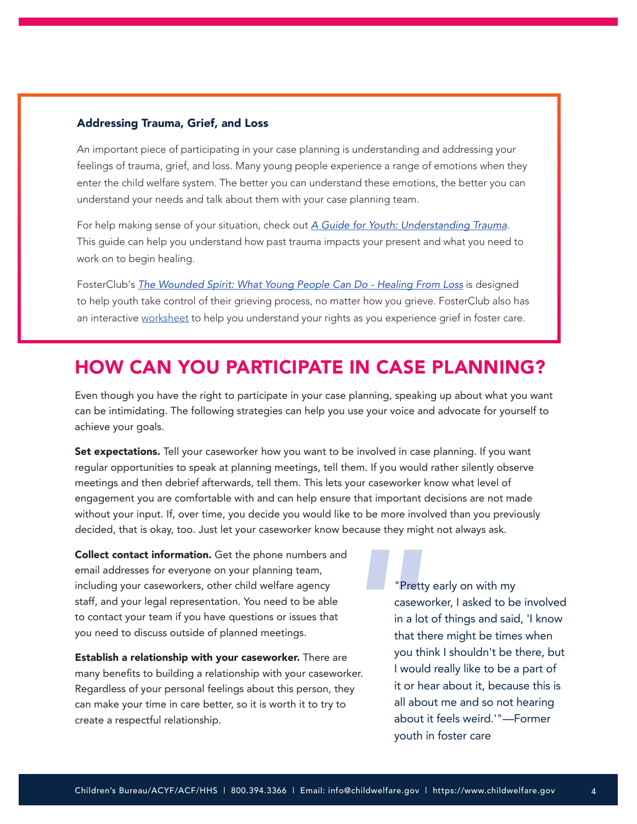#### <span id="page-3-0"></span>Addressing Trauma, Grief, and Loss

An important piece of participating in your case planning is understanding and addressing your feelings of trauma, grief, and loss. Many young people experience a range of emotions when they enter the child welfare system. The better you can understand these emotions, the better you can understand your needs and talk about them with your case planning team.

For help making sense of your situation, check out *[A Guide for Youth: Understanding Trauma](https://youthmovenational.org/wp-content/uploads/2019/05/Youth-Trauma-Guide-Understanding-Trauma.pdf)*. This guide can help you understand how past trauma impacts your present and what you need to work on to begin healing.

FosterClub's *[The Wounded Spirit: What Young People Can Do - Healing From Loss](https://www.fosterclub.com/sites/default/files/The%20Wounded%20Spirit%20-%20What%20Young%20People%20Can%20Do-%20Healing%20from%20Loss%20%28H%29.pdf)* is designed to help youth take control of their grieving process, no matter how you grieve. FosterClub also has an interactive [worksheet](https://www.fosterclub.com/sites/default/files/The%20Wounded%20Spirit%20-%20Bill%20of%20Rights%20-%20Youth%20from%20Foster%20Care%20Experiencing%20Grief%20H.pdf) to help you understand your rights as you experience grief in foster care.

### HOW CAN YOU PARTICIPATE IN CASE PLANNING?

Even though you have the right to participate in your case planning, speaking up about what you want can be intimidating. The following strategies can help you use your voice and advocate for yourself to achieve your goals.

Set expectations. Tell your caseworker how you want to be involved in case planning. If you want regular opportunities to speak at planning meetings, tell them. If you would rather silently observe meetings and then debrief afterwards, tell them. This lets your caseworker know what level of engagement you are comfortable with and can help ensure that important decisions are not made without your input. If, over time, you decide you would like to be more involved than you previously decided, that is okay, too. Just let your caseworker know because they might not always ask.

Collect contact information. Get the phone numbers and email addresses for everyone on your planning team, including your caseworkers, other child welfare agency staff, and your legal representation. You need to be able to contact your team if you have questions or issues that you need to discuss outside of planned meetings.

Establish a relationship with your caseworker. There are many benefits to building a relationship with your caseworker. Regardless of your personal feelings about this person, they can make your time in care better, so it is worth it to try to create a respectful relationship.

"Pretty early on with my caseworker, I asked to be involved in a lot of things and said, 'I know that there might be times when you think I shouldn't be there, but I would really like to be a part of it or hear about it, because this is all about me and so not hearing about it feels weird.'"—Former youth in foster care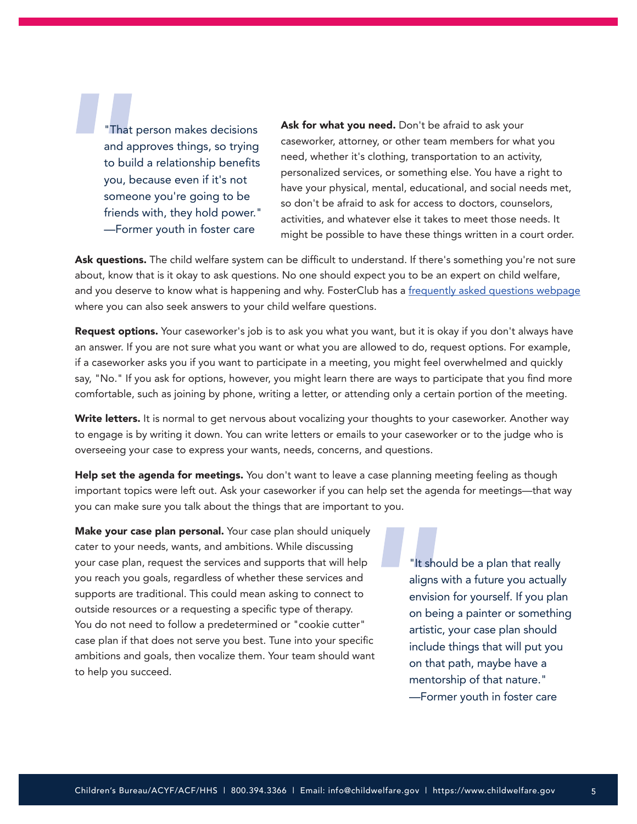"That person makes decisions and approves things, so trying to build a relationship benefits you, because even if it's not someone you're going to be friends with, they hold power." —Former youth in foster care

Ask for what you need. Don't be afraid to ask your caseworker, attorney, or other team members for what you need, whether it's clothing, transportation to an activity, personalized services, or something else. You have a right to have your physical, mental, educational, and social needs met, so don't be afraid to ask for access to doctors, counselors, activities, and whatever else it takes to meet those needs. It might be possible to have these things written in a court order.

Ask questions. The child welfare system can be difficult to understand. If there's something you're not sure about, know that is it okay to ask questions. No one should expect you to be an expert on child welfare, and you deserve to know what is happening and why. FosterClub has a [frequently asked questions webpage](https://www.fosterclub.com/frequently-asked-questions) where you can also seek answers to your child welfare questions.

Request options. Your caseworker's job is to ask you what you want, but it is okay if you don't always have an answer. If you are not sure what you want or what you are allowed to do, request options. For example, if a caseworker asks you if you want to participate in a meeting, you might feel overwhelmed and quickly say, "No." If you ask for options, however, you might learn there are ways to participate that you find more comfortable, such as joining by phone, writing a letter, or attending only a certain portion of the meeting.

Write letters. It is normal to get nervous about vocalizing your thoughts to your caseworker. Another way to engage is by writing it down. You can write letters or emails to your caseworker or to the judge who is overseeing your case to express your wants, needs, concerns, and questions.

Help set the agenda for meetings. You don't want to leave a case planning meeting feeling as though important topics were left out. Ask your caseworker if you can help set the agenda for meetings—that way you can make sure you talk about the things that are important to you.

Make your case plan personal. Your case plan should uniquely cater to your needs, wants, and ambitions. While discussing your case plan, request the services and supports that will help you reach you goals, regardless of whether these services and supports are traditional. This could mean asking to connect to outside resources or a requesting a specific type of therapy. You do not need to follow a predetermined or "cookie cutter" case plan if that does not serve you best. Tune into your specific ambitions and goals, then vocalize them. Your team should want to help you succeed.

"It should be a plan that really aligns with a future you actually envision for yourself. If you plan on being a painter or something artistic, your case plan should include things that will put you on that path, maybe have a mentorship of that nature." —Former youth in foster care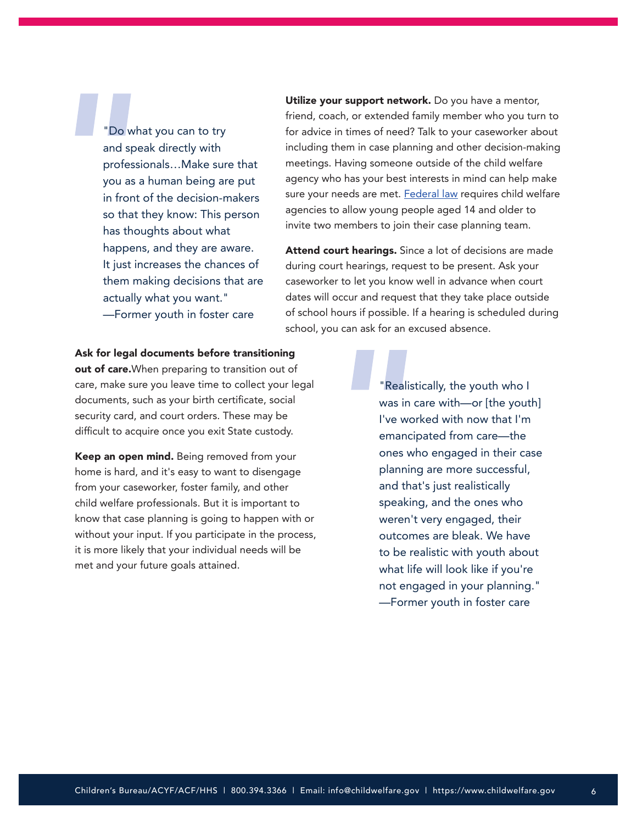"Do what you can to try and speak directly with professionals…Make sure that you as a human being are put in front of the decision-makers so that they know: This person has thoughts about what happens, and they are aware. It just increases the chances of them making decisions that are actually what you want." —Former youth in foster care

Utilize your support network. Do you have a mentor, friend, coach, or extended family member who you turn to for advice in times of need? Talk to your caseworker about including them in case planning and other decision-making meetings. Having someone outside of the child welfare agency who has your best interests in mind can help make sure your needs are met. [Federal law](https://www.ncsl.org/research/human-services/preventing-sex-trafficking-and-strengthening-families-act-of-2014.aspx) requires child welfare agencies to allow young people aged 14 and older to invite two members to join their case planning team.

Attend court hearings. Since a lot of decisions are made during court hearings, request to be present. Ask your caseworker to let you know well in advance when court dates will occur and request that they take place outside of school hours if possible. If a hearing is scheduled during school, you can ask for an excused absence.

### Ask for legal documents before transitioning

out of care. When preparing to transition out of care, make sure you leave time to collect your legal documents, such as your birth certificate, social security card, and court orders. These may be difficult to acquire once you exit State custody.

Keep an open mind. Being removed from your home is hard, and it's easy to want to disengage from your caseworker, foster family, and other child welfare professionals. But it is important to know that case planning is going to happen with or without your input. If you participate in the process, it is more likely that your individual needs will be met and your future goals attained.

"Realistically, the youth who I was in care with—or [the youth] I've worked with now that I'm emancipated from care—the ones who engaged in their case planning are more successful, and that's just realistically speaking, and the ones who weren't very engaged, their outcomes are bleak. We have to be realistic with youth about what life will look like if you're not engaged in your planning." —Former youth in foster care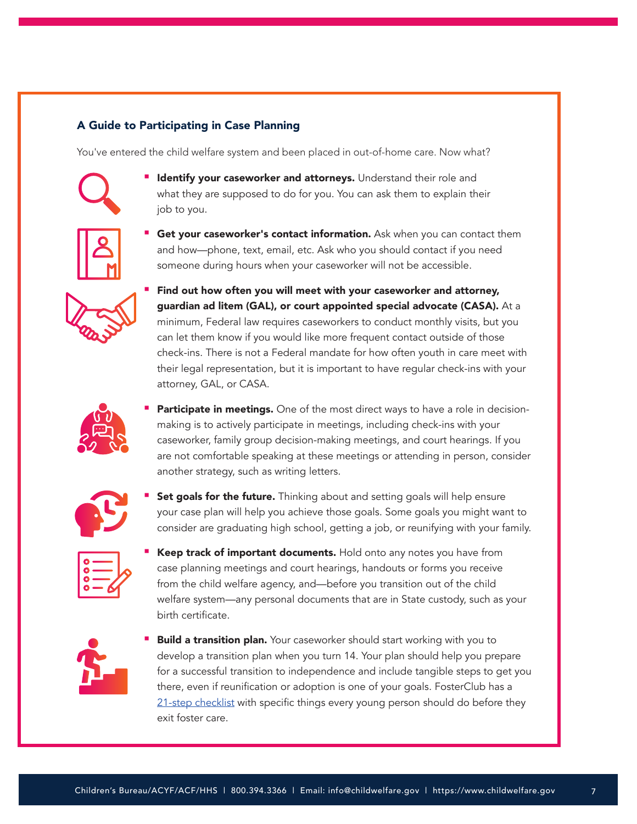### A Guide to Participating in Case Planning

You've entered the child welfare system and been placed in out-of-home care. Now what?



**I** Identify your caseworker and attorneys. Understand their role and what they are supposed to do for you. You can ask them to explain their job to you.



Get your caseworker's contact information. Ask when you can contact them and how—phone, text, email, etc. Ask who you should contact if you need someone during hours when your caseworker will not be accessible.



 Find out how often you will meet with your caseworker and attorney, guardian ad litem (GAL), or court appointed special advocate (CASA). At a minimum, Federal law requires caseworkers to conduct monthly visits, but you can let them know if you would like more frequent contact outside of those check-ins. There is not a Federal mandate for how often youth in care meet with their legal representation, but it is important to have regular check-ins with your attorney, GAL, or CASA.



**Participate in meetings.** One of the most direct ways to have a role in decisionmaking is to actively participate in meetings, including check-ins with your caseworker, family group decision-making meetings, and court hearings. If you are not comfortable speaking at these meetings or attending in person, consider another strategy, such as writing letters.



Set goals for the future. Thinking about and setting goals will help ensure your case plan will help you achieve those goals. Some goals you might want to consider are graduating high school, getting a job, or reunifying with your family.



Keep track of important documents. Hold onto any notes you have from case planning meetings and court hearings, handouts or forms you receive from the child welfare agency, and—before you transition out of the child welfare system—any personal documents that are in State custody, such as your birth certificate.



**Build a transition plan.** Your caseworker should start working with you to develop a transition plan when you turn 14. Your plan should help you prepare for a successful transition to independence and include tangible steps to get you there, even if reunification or adoption is one of your goals. FosterClub has a [21-step checklist](https://www.fosterclub.com/blog/editorial/21-things-its-t-time) with specific things every young person should do before they exit foster care.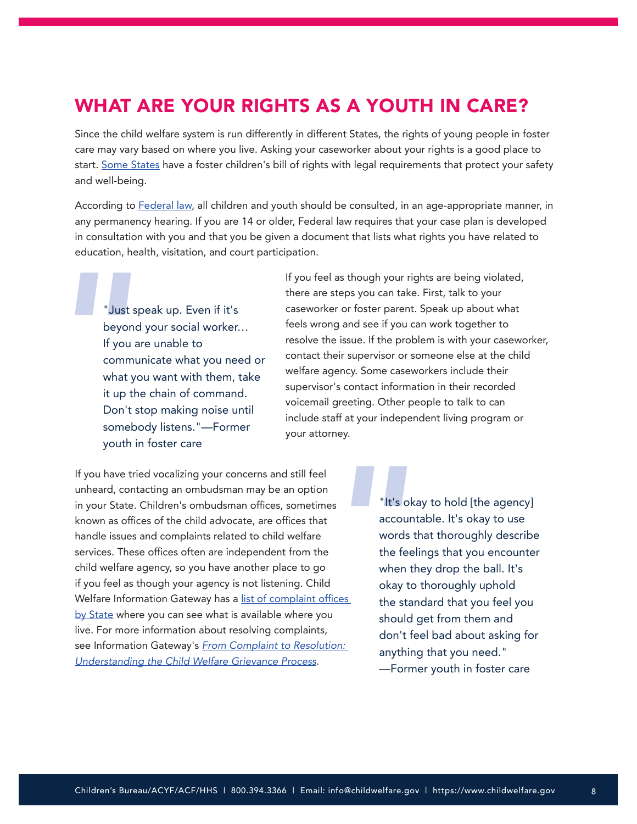# <span id="page-7-0"></span>WHAT ARE YOUR RIGHTS AS A YOUTH IN CARE?

Since the child welfare system is run differently in different States, the rights of young people in foster care may vary based on where you live. Asking your caseworker about your rights is a good place to start. [Some States](https://www.fosterclub.com/resources/rights-foster-care?page=4) have a foster children's bill of rights with legal requirements that protect your safety and well-being.

According to [Federal law](https://www.govinfo.gov/content/pkg/USCODE-2010-title42/pdf/USCODE-2010-title42.pdf), all children and youth should be consulted, in an age-appropriate manner, in any permanency hearing. If you are 14 or older, Federal law requires that your case plan is developed in consultation with you and that you be given a document that lists what rights you have related to education, health, visitation, and court participation.

"Just speak up. Even if it's beyond your social worker… If you are unable to communicate what you need or what you want with them, take it up the chain of command. Don't stop making noise until somebody listens."—Former youth in foster care

If you feel as though your rights are being violated, there are steps you can take. First, talk to your caseworker or foster parent. Speak up about what feels wrong and see if you can work together to resolve the issue. If the problem is with your caseworker, contact their supervisor or someone else at the child welfare agency. Some caseworkers include their supervisor's contact information in their recorded voicemail greeting. Other people to talk to can include staff at your independent living program or your attorney.

If you have tried vocalizing your concerns and still feel unheard, contacting an ombudsman may be an option in your State. Children's ombudsman offices, sometimes known as offices of the child advocate, are offices that handle issues and complaints related to child welfare services. These offices often are independent from the child welfare agency, so you have another place to go if you feel as though your agency is not listening. Child Welfare Information Gateway has a list of complaint offices [by State](https://www.childwelfare.gov/organizations/?CWIGFunctionsaction=rols:main.dspList&rolType=Custom&RS_ID=31) where you can see what is available where you live. For more information about resolving complaints, see Information Gateway's *[From Complaint to Resolution:](https://www.childwelfare.gov/pubs/factsheets/cw-grievance/)  [Understanding the Child Welfare Grievance Process](https://www.childwelfare.gov/pubs/factsheets/cw-grievance/)*.

"It's okay to hold [the agency] accountable. It's okay to use words that thoroughly describe the feelings that you encounter when they drop the ball. It's okay to thoroughly uphold the standard that you feel you should get from them and don't feel bad about asking for anything that you need." —Former youth in foster care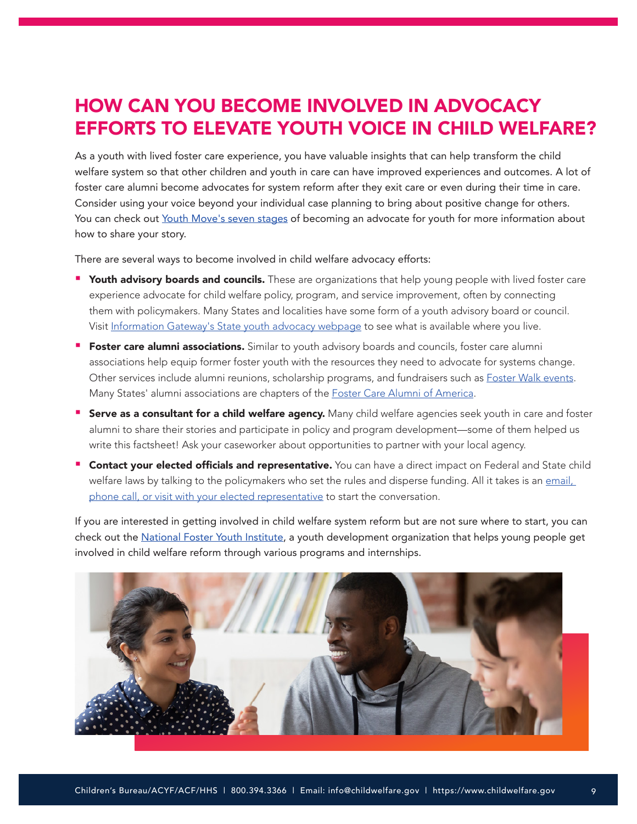# <span id="page-8-0"></span>HOW CAN YOU BECOME INVOLVED IN ADVOCACY EFFORTS TO ELEVATE YOUTH VOICE IN CHILD WELFARE?

As a youth with lived foster care experience, you have valuable insights that can help transform the child welfare system so that other children and youth in care can have improved experiences and outcomes. A lot of foster care alumni become advocates for system reform after they exit care or even during their time in care. Consider using your voice beyond your individual case planning to bring about positive change for others. You can check out [Youth Move's seven stages](https://youthmovenational.org/wp-content/uploads/2019/05/seven-stages.pdf) of becoming an advocate for youth for more information about how to share your story.

There are several ways to become involved in child welfare advocacy efforts:

- Youth advisory boards and councils. These are organizations that help young people with lived foster care experience advocate for child welfare policy, program, and service improvement, often by connecting them with policymakers. Many States and localities have some form of a youth advisory board or council. Visit [Information Gateway's State youth advocacy webpage](https://www.childwelfare.gov/organizations/?CWIGFunctionsaction=rols:main.dspList&rolType=Custom&RS_ID=160) to see what is available where you live.
- **Foster care alumni associations.** Similar to youth advisory boards and councils, foster care alumni associations help equip former foster youth with the resources they need to advocate for systems change. Other services include alumni reunions, scholarship programs, and fundraisers such as **[Foster Walk events](https://fostercarealumni.org/foster-walks/)**. Many States' alumni associations are chapters of the **Foster Care Alumni of America**.
- **Serve as a consultant for a child welfare agency.** Many child welfare agencies seek youth in care and foster alumni to share their stories and participate in policy and program development—some of them helped us write this factsheet! Ask your caseworker about opportunities to partner with your local agency.
- **Contact your elected officials and representative.** You can have a direct impact on Federal and State child welfare laws by talking to the policymakers who set the rules and disperse funding. All it takes is an email, [phone call, or visit with your elected representative](https://www.usa.gov/elected-officials) to start the conversation.

If you are interested in getting involved in child welfare system reform but are not sure where to start, you can check out the [National Foster Youth Institute](https://nfyi.org/), a youth development organization that helps young people get involved in child welfare reform through various programs and internships.